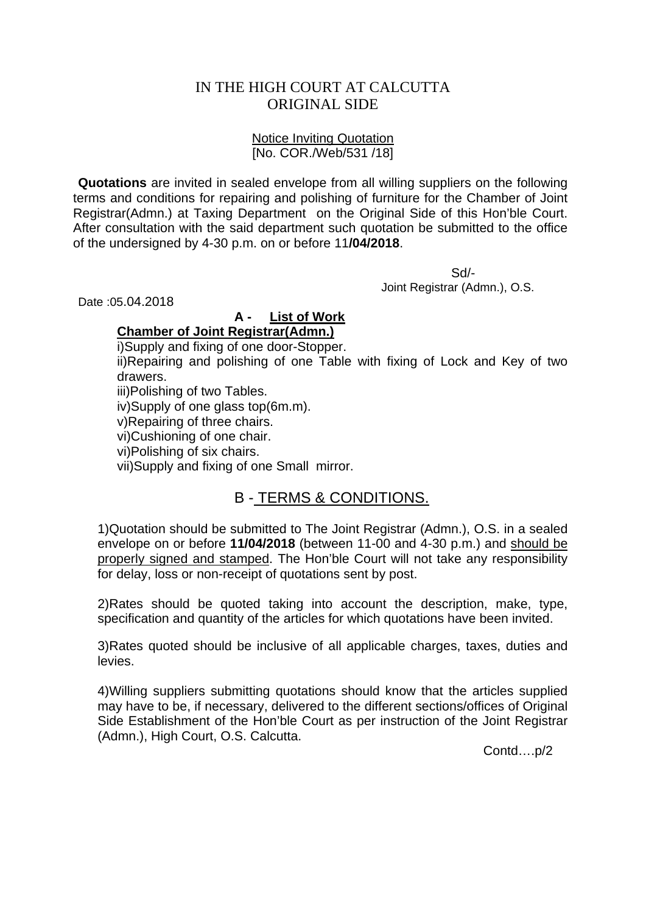## IN THE HIGH COURT AT CALCUTTA ORIGINAL SIDE

#### Notice Inviting Quotation [No. COR./Web/531 /18]

**Quotations** are invited in sealed envelope from all willing suppliers on the following terms and conditions for repairing and polishing of furniture for the Chamber of Joint Registrar(Admn.) at Taxing Department on the Original Side of this Hon'ble Court. After consultation with the said department such quotation be submitted to the office of the undersigned by 4-30 p.m. on or before 11**/04/2018**.

 Sd/- Joint Registrar (Admn.), O.S.

Date :05.04.2018

### **A - List of Work**

### **Chamber of Joint Registrar(Admn.)**

i)Supply and fixing of one door-Stopper.

ii)Repairing and polishing of one Table with fixing of Lock and Key of two drawers.

iii)Polishing of two Tables.

iv)Supply of one glass top(6m.m).

v)Repairing of three chairs.

vi)Cushioning of one chair.

vi)Polishing of six chairs.

vii)Supply and fixing of one Small mirror.

# B - TERMS & CONDITIONS.

1)Quotation should be submitted to The Joint Registrar (Admn.), O.S. in a sealed envelope on or before **11/04/2018** (between 11-00 and 4-30 p.m.) and should be properly signed and stamped. The Hon'ble Court will not take any responsibility for delay, loss or non-receipt of quotations sent by post.

2)Rates should be quoted taking into account the description, make, type, specification and quantity of the articles for which quotations have been invited.

3)Rates quoted should be inclusive of all applicable charges, taxes, duties and levies.

4)Willing suppliers submitting quotations should know that the articles supplied may have to be, if necessary, delivered to the different sections/offices of Original Side Establishment of the Hon'ble Court as per instruction of the Joint Registrar (Admn.), High Court, O.S. Calcutta.

Contd….p/2